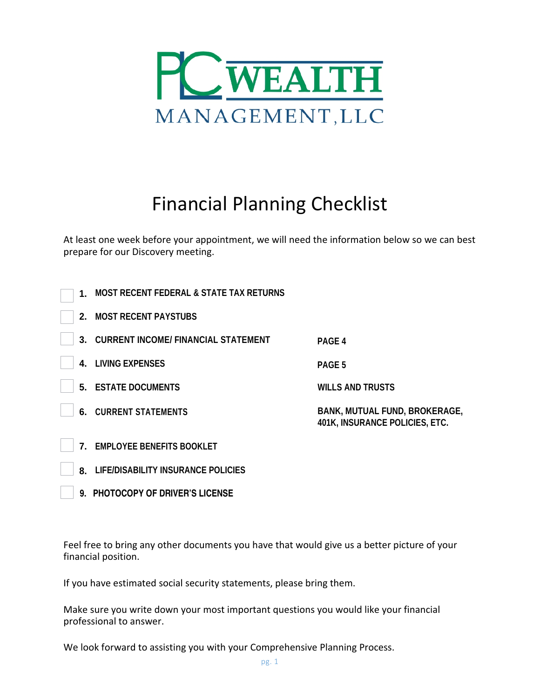

# Financial Planning Checklist

At least one week before your appointment, we will need the information below so we can best prepare for our Discovery meeting.

| 1. | <b>MOST RECENT FEDERAL &amp; STATE TAX RETURNS</b> |                                                                               |
|----|----------------------------------------------------|-------------------------------------------------------------------------------|
| 2. | <b>MOST RECENT PAYSTUBS</b>                        |                                                                               |
| 3. | <b>CURRENT INCOME/ FINANCIAL STATEMENT</b>         | PAGE 4                                                                        |
| 4. | <b>LIVING EXPENSES</b>                             | PAGE <sub>5</sub>                                                             |
|    | <b>5. ESTATE DOCUMENTS</b>                         | <b>WILLS AND TRUSTS</b>                                                       |
|    | <b>6. CURRENT STATEMENTS</b>                       | <b>BANK, MUTUAL FUND, BROKERAGE,</b><br><b>401K, INSURANCE POLICIES, ETC.</b> |
| 7. | <b>EMPLOYEE BENEFITS BOOKLET</b>                   |                                                                               |
| 8. | <b>LIFE/DISABILITY INSURANCE POLICIES</b>          |                                                                               |
|    | 9. PHOTOCOPY OF DRIVER'S LICENSE                   |                                                                               |

Feel free to bring any other documents you have that would give us a better picture of your financial position.

If you have estimated social security statements, please bring them.

Make sure you write down your most important questions you would like your financial professional to answer.

We look forward to assisting you with your Comprehensive Planning Process.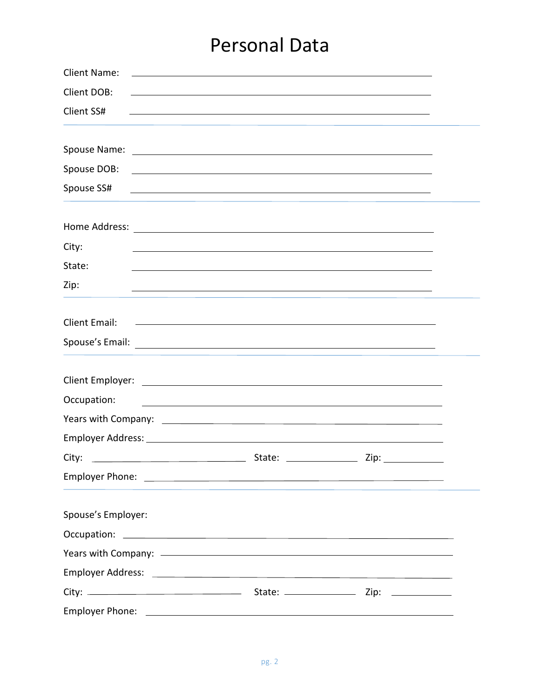## Personal Data

| <b>Client Name:</b><br><u> 1989 - Johann John Stein, markin fan it ferstjer fan de ferstjer fan it ferstjer fan de ferstjer fan it fers</u>                                                                                    |                                                                                                                       |  |  |  |
|--------------------------------------------------------------------------------------------------------------------------------------------------------------------------------------------------------------------------------|-----------------------------------------------------------------------------------------------------------------------|--|--|--|
| Client DOB:                                                                                                                                                                                                                    |                                                                                                                       |  |  |  |
| Client SS#                                                                                                                                                                                                                     | <u> 1989 - Johann Stoff, amerikansk politiker (* 1908)</u>                                                            |  |  |  |
|                                                                                                                                                                                                                                |                                                                                                                       |  |  |  |
|                                                                                                                                                                                                                                |                                                                                                                       |  |  |  |
|                                                                                                                                                                                                                                |                                                                                                                       |  |  |  |
| Spouse SS#                                                                                                                                                                                                                     | <u> 1989 - Johann John Stone, meilich aus der Stone († 1989)</u>                                                      |  |  |  |
|                                                                                                                                                                                                                                |                                                                                                                       |  |  |  |
| City:                                                                                                                                                                                                                          |                                                                                                                       |  |  |  |
| State:                                                                                                                                                                                                                         |                                                                                                                       |  |  |  |
| Zip:                                                                                                                                                                                                                           | and the control of the control of the control of the control of the control of the control of the control of the      |  |  |  |
| <b>Client Email:</b>                                                                                                                                                                                                           | <u> 1990 - Johann John Stone, markin fan de Amerikaanske kommunister (* 1950)</u>                                     |  |  |  |
| Spouse's Email: Note of the Contract of the Contract of the Contract of the Contract of the Contract of the Contract of the Contract of the Contract of the Contract of the Contract of the Contract of the Contract of the Co |                                                                                                                       |  |  |  |
|                                                                                                                                                                                                                                |                                                                                                                       |  |  |  |
| Occupation:                                                                                                                                                                                                                    | <u> 1989 - Johann Harry Harry Harry Harry Harry Harry Harry Harry Harry Harry Harry Harry Harry Harry Harry Harry</u> |  |  |  |
|                                                                                                                                                                                                                                |                                                                                                                       |  |  |  |
|                                                                                                                                                                                                                                |                                                                                                                       |  |  |  |
| <u> Alexandria de la contrada de la contrada de la contrada de la contrada de la contrada de la contrada de la c</u><br>City:                                                                                                  | State: _______________                                                                                                |  |  |  |
|                                                                                                                                                                                                                                |                                                                                                                       |  |  |  |
| Spouse's Employer:                                                                                                                                                                                                             |                                                                                                                       |  |  |  |
|                                                                                                                                                                                                                                |                                                                                                                       |  |  |  |
|                                                                                                                                                                                                                                |                                                                                                                       |  |  |  |
|                                                                                                                                                                                                                                |                                                                                                                       |  |  |  |
|                                                                                                                                                                                                                                |                                                                                                                       |  |  |  |
|                                                                                                                                                                                                                                |                                                                                                                       |  |  |  |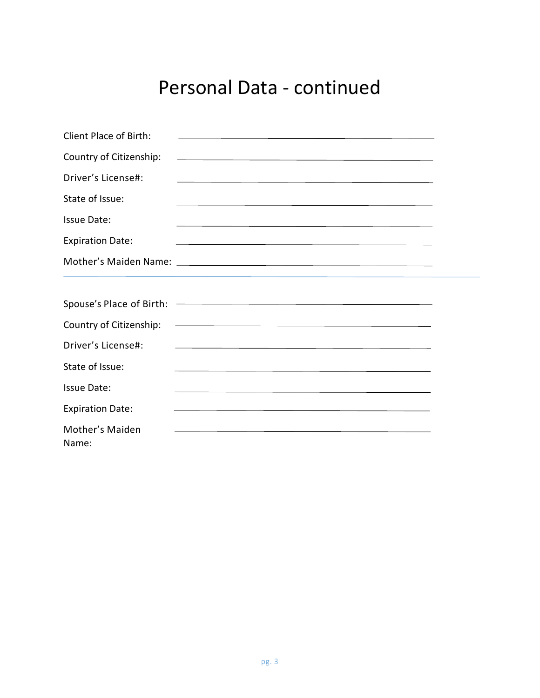## Personal Data - continued

| Client Place of Birth:   |                                                                                                                       |  |
|--------------------------|-----------------------------------------------------------------------------------------------------------------------|--|
| Country of Citizenship:  | <u> 1989 - Johann Stoff, amerikansk politiker (* 1908)</u>                                                            |  |
| Driver's License#:       | <u> 1989 - Jan Samuel Barbert (f. 1989)</u>                                                                           |  |
| State of Issue:          | <u> 1989 - Johann Stoff, amerikansk politiker (d. 1989)</u>                                                           |  |
| Issue Date:              | <u> 1989 - Johann Barn, mars ann an t-Amhainn an t-Amhainn an t-Amhainn an t-Amhainn an t-Amhainn an t-Amhainn an</u> |  |
| <b>Expiration Date:</b>  | <u> 1989 - Johann Stoff, amerikansk politiker (* 1908)</u>                                                            |  |
|                          |                                                                                                                       |  |
|                          |                                                                                                                       |  |
| Country of Citizenship:  | <u> 1989 - Johann Stein, fransk politik (f. 1989)</u>                                                                 |  |
| Driver's License#:       |                                                                                                                       |  |
| State of Issue:          |                                                                                                                       |  |
| <b>Issue Date:</b>       | <u> 1989 - Johann Stoff, amerikansk politiker (* 1908)</u>                                                            |  |
| <b>Expiration Date:</b>  | <u> 1989 - Johann Stoff, amerikansk politiker (* 1908)</u>                                                            |  |
| Mother's Maiden<br>Name: | and the control of the control of the control of the control of the control of the control of the control of the      |  |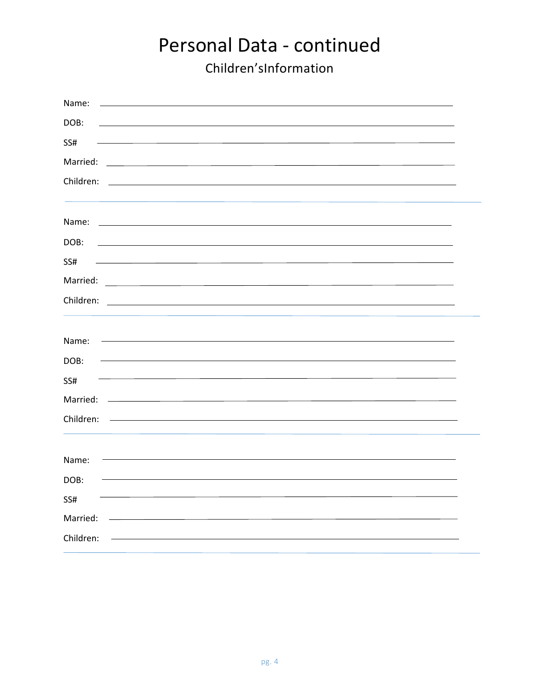#### Personal Data - continued Children'sInformation

| Name:     |                                                                                                                                                                                                                                      |  |
|-----------|--------------------------------------------------------------------------------------------------------------------------------------------------------------------------------------------------------------------------------------|--|
| DOB:      |                                                                                                                                                                                                                                      |  |
| SS#       |                                                                                                                                                                                                                                      |  |
| Married:  | <u> 1989 - Johann Barbara, martxa alemaniar a</u>                                                                                                                                                                                    |  |
| Children: |                                                                                                                                                                                                                                      |  |
|           |                                                                                                                                                                                                                                      |  |
| Name:     | <u>and the state of the state of the state of the state of the state of the state of the state of the state of the state of the state of the state of the state of the state of the state of the state of the state of the state</u> |  |
| DOB:      |                                                                                                                                                                                                                                      |  |
| SS#       |                                                                                                                                                                                                                                      |  |
| Married:  |                                                                                                                                                                                                                                      |  |
| Children: | <u> 1989 - John Stone, Amerikan besteht in der staat van de gewone van de gewone van de gewone van de gewone van</u>                                                                                                                 |  |
|           |                                                                                                                                                                                                                                      |  |
| Name:     |                                                                                                                                                                                                                                      |  |
| DOB:      |                                                                                                                                                                                                                                      |  |
| SS#       |                                                                                                                                                                                                                                      |  |
| Married:  |                                                                                                                                                                                                                                      |  |
| Children: |                                                                                                                                                                                                                                      |  |
|           |                                                                                                                                                                                                                                      |  |
| Name:     |                                                                                                                                                                                                                                      |  |
| DOB:      |                                                                                                                                                                                                                                      |  |
| SS#       |                                                                                                                                                                                                                                      |  |
| Married:  |                                                                                                                                                                                                                                      |  |
| Children: |                                                                                                                                                                                                                                      |  |
|           |                                                                                                                                                                                                                                      |  |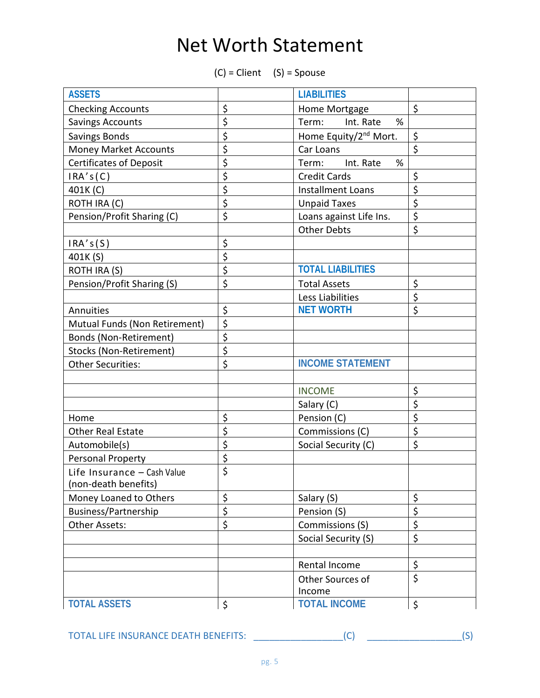## Net Worth Statement

 $(C) = Client (S) = Spouse$ 

| <b>ASSETS</b>                  | <b>LIABILITIES</b> |                                   |         |
|--------------------------------|--------------------|-----------------------------------|---------|
| <b>Checking Accounts</b>       | \$                 | Home Mortgage                     | $\zeta$ |
| <b>Savings Accounts</b>        | \$                 | %<br>Term:<br>Int. Rate           |         |
| <b>Savings Bonds</b>           | \$                 | Home Equity/2 <sup>nd</sup> Mort. | \$      |
| Money Market Accounts          | \$                 | Car Loans                         | \$      |
| <b>Certificates of Deposit</b> | \$                 | %<br>Int. Rate<br>Term:           |         |
| IRA's(C)                       | \$                 | <b>Credit Cards</b>               | \$      |
| 401K (C)                       | \$                 | <b>Installment Loans</b>          | \$      |
| ROTH IRA (C)                   | \$                 | <b>Unpaid Taxes</b>               | \$      |
| Pension/Profit Sharing (C)     | \$                 | Loans against Life Ins.           | \$      |
|                                |                    | <b>Other Debts</b>                | \$      |
| IRA's(S)                       | \$                 |                                   |         |
| 401K (S)                       | \$                 |                                   |         |
| ROTH IRA (S)                   | \$                 | <b>TOTAL LIABILITIES</b>          |         |
| Pension/Profit Sharing (S)     | \$                 | <b>Total Assets</b>               | \$      |
|                                |                    | Less Liabilities                  | \$      |
| Annuities                      | \$                 | <b>NET WORTH</b>                  | \$      |
| Mutual Funds (Non Retirement)  | \$                 |                                   |         |
| Bonds (Non-Retirement)         | \$                 |                                   |         |
| Stocks (Non-Retirement)        | \$                 |                                   |         |
| <b>Other Securities:</b>       | \$                 | <b>INCOME STATEMENT</b>           |         |
|                                |                    |                                   |         |
|                                |                    | <b>INCOME</b>                     | \$      |
|                                |                    | Salary (C)                        | \$      |
| Home                           | \$                 | Pension (C)                       | \$      |
| <b>Other Real Estate</b>       | \$                 | Commissions (C)                   | \$      |
| Automobile(s)                  | \$                 | Social Security (C)               | \$      |
| Personal Property              | \$                 |                                   |         |
| Life Insurance - Cash Value    | \$                 |                                   |         |
| (non-death benefits)           |                    |                                   |         |
| Money Loaned to Others         | \$                 | Salary (S)                        | \$      |
| Business/Partnership           | \$                 | Pension (S)                       | \$      |
| <b>Other Assets:</b>           | \$                 | Commissions (S)                   | \$      |
|                                |                    | Social Security (S)               | \$      |
|                                |                    |                                   |         |
|                                |                    | Rental Income                     | \$      |
|                                |                    | Other Sources of                  | $\zeta$ |
|                                |                    | Income                            |         |
| <b>TOTAL ASSETS</b>            | \$                 | <b>TOTAL INCOME</b>               | \$      |

TOTAL LIFE INSURANCE DEATH BENEFITS: \_\_\_\_\_\_\_\_\_\_\_\_\_\_\_\_\_(C) \_\_\_\_\_\_\_\_\_\_\_\_\_\_\_\_\_\_(S)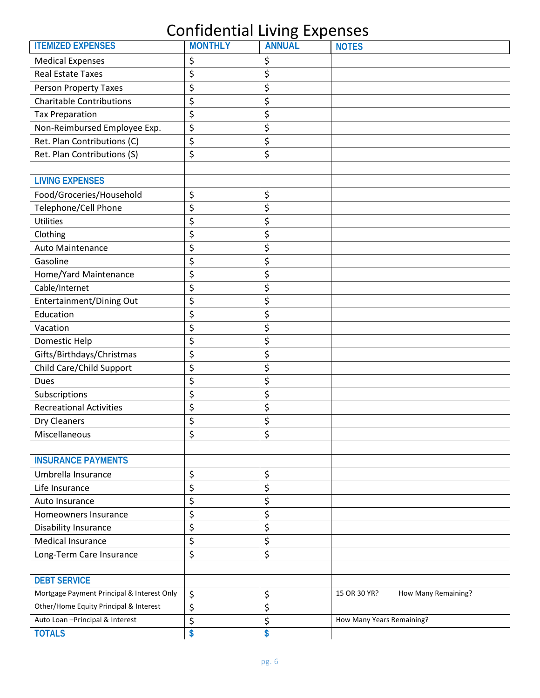#### Confidential Living Expenses

| <b>ITEMIZED EXPENSES</b>                   | <b>MONTHLY</b> | <br>- ייך י<br><b>ANNUAL</b> | <b>NOTES</b>                        |
|--------------------------------------------|----------------|------------------------------|-------------------------------------|
| <b>Medical Expenses</b>                    | \$             | \$                           |                                     |
| <b>Real Estate Taxes</b>                   | \$             | \$                           |                                     |
| Person Property Taxes                      | \$             | \$                           |                                     |
| <b>Charitable Contributions</b>            | \$             | \$                           |                                     |
| <b>Tax Preparation</b>                     | \$             | \$                           |                                     |
| Non-Reimbursed Employee Exp.               | \$             | \$                           |                                     |
| Ret. Plan Contributions (C)                | \$             | \$                           |                                     |
| Ret. Plan Contributions (S)                | \$             | \$                           |                                     |
|                                            |                |                              |                                     |
| <b>LIVING EXPENSES</b>                     |                |                              |                                     |
| Food/Groceries/Household                   | \$             | \$                           |                                     |
| Telephone/Cell Phone                       | \$             | \$                           |                                     |
| <b>Utilities</b>                           | \$             | \$                           |                                     |
| Clothing                                   | \$             | \$                           |                                     |
| <b>Auto Maintenance</b>                    | \$             | \$                           |                                     |
| Gasoline                                   | \$             | \$                           |                                     |
| Home/Yard Maintenance                      | \$             | \$                           |                                     |
| Cable/Internet                             | \$             | \$                           |                                     |
| Entertainment/Dining Out                   | \$             | \$                           |                                     |
| Education                                  | \$             | \$                           |                                     |
| Vacation                                   | \$             | \$                           |                                     |
| Domestic Help                              | \$             | \$                           |                                     |
| Gifts/Birthdays/Christmas                  | \$             | \$                           |                                     |
| Child Care/Child Support                   | \$             | \$                           |                                     |
| <b>Dues</b>                                | \$             | \$                           |                                     |
| Subscriptions                              | \$             | \$                           |                                     |
| <b>Recreational Activities</b>             | \$             | \$                           |                                     |
| <b>Dry Cleaners</b>                        | \$             | \$                           |                                     |
| Miscellaneous                              | \$             | \$                           |                                     |
|                                            |                |                              |                                     |
| <b>INSURANCE PAYMENTS</b>                  |                |                              |                                     |
| Umbrella Insurance                         | \$             | \$                           |                                     |
| Life Insurance                             | \$             | \$                           |                                     |
| Auto Insurance                             | \$             | \$                           |                                     |
| Homeowners Insurance                       | \$             | \$                           |                                     |
| Disability Insurance                       | \$             | \$                           |                                     |
| <b>Medical Insurance</b>                   | \$             | \$                           |                                     |
| Long-Term Care Insurance                   | \$             | \$                           |                                     |
|                                            |                |                              |                                     |
| <b>DEBT SERVICE</b>                        |                |                              |                                     |
| Mortgage Payment Principal & Interest Only | \$             | \$                           | 15 OR 30 YR?<br>How Many Remaining? |
| Other/Home Equity Principal & Interest     | \$             | \$                           |                                     |
| Auto Loan - Principal & Interest           | \$             | \$                           | How Many Years Remaining?           |
| <b>TOTALS</b>                              | \$             | \$                           |                                     |